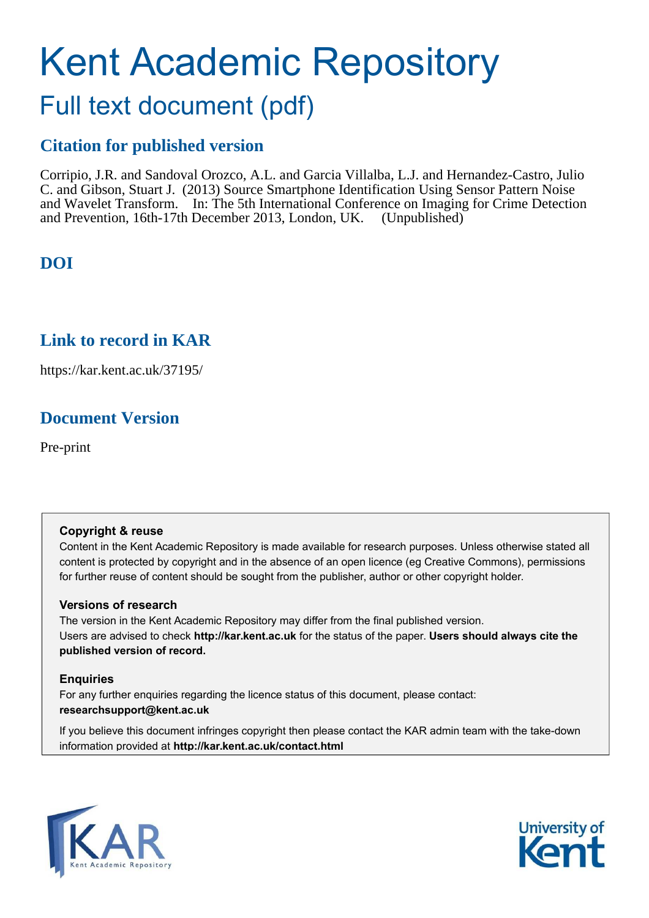# Kent Academic Repository

## Full text document (pdf)

## **Citation for published version**

Corripio, J.R. and Sandoval Orozco, A.L. and Garcia Villalba, L.J. and Hernandez-Castro, Julio C. and Gibson, Stuart J. (2013) Source Smartphone Identification Using Sensor Pattern Noise and Wavelet Transform. In: The 5th International Conference on Imaging for Crime Detection and Prevention, 16th-17th December 2013, London, UK. (Unpublished)

## **DOI**

## **Link to record in KAR**

https://kar.kent.ac.uk/37195/

## **Document Version**

Pre-print

#### **Copyright & reuse**

Content in the Kent Academic Repository is made available for research purposes. Unless otherwise stated all content is protected by copyright and in the absence of an open licence (eg Creative Commons), permissions for further reuse of content should be sought from the publisher, author or other copyright holder.

#### **Versions of research**

The version in the Kent Academic Repository may differ from the final published version. Users are advised to check **http://kar.kent.ac.uk** for the status of the paper. **Users should always cite the published version of record.**

#### **Enquiries**

For any further enquiries regarding the licence status of this document, please contact: **researchsupport@kent.ac.uk**

If you believe this document infringes copyright then please contact the KAR admin team with the take-down information provided at **http://kar.kent.ac.uk/contact.html**



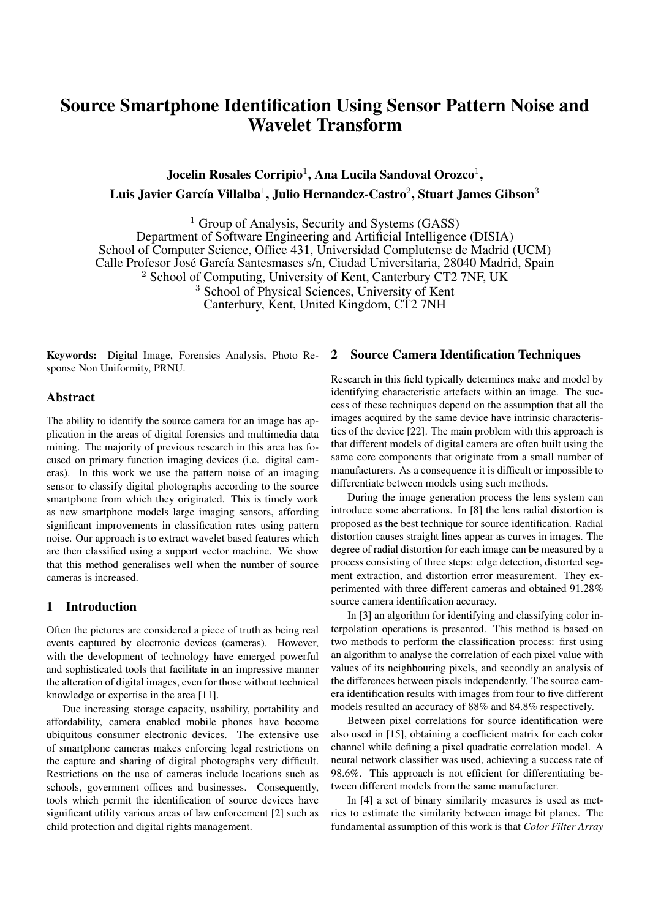### Source Smartphone Identification Using Sensor Pattern Noise and Wavelet Transform

Jocelin Rosales Corripio<sup>1</sup>, Ana Lucila Sandoval Orozco<sup>1</sup>, Luis Javier García Villalba $^1$ , Julio Hernandez-Castro $^2$ , Stuart James Gibson $^3$ 

 $<sup>1</sup>$  Group of Analysis, Security and Systems (GASS)</sup> Department of Software Engineering and Artificial Intelligence (DISIA) School of Computer Science, Office 431, Universidad Complutense de Madrid (UCM) Calle Profesor José García Santesmases s/n, Ciudad Universitaria, 28040 Madrid, Spain <sup>2</sup> School of Computing, University of Kent, Canterbury CT2 7NF, UK <sup>3</sup> School of Physical Sciences, University of Kent Canterbury, Kent, United Kingdom, CT2 7NH

Keywords: Digital Image, Forensics Analysis, Photo Response Non Uniformity, PRNU.

#### Abstract

The ability to identify the source camera for an image has application in the areas of digital forensics and multimedia data mining. The majority of previous research in this area has focused on primary function imaging devices (i.e. digital cameras). In this work we use the pattern noise of an imaging sensor to classify digital photographs according to the source smartphone from which they originated. This is timely work as new smartphone models large imaging sensors, affording significant improvements in classification rates using pattern noise. Our approach is to extract wavelet based features which are then classified using a support vector machine. We show that this method generalises well when the number of source cameras is increased.

#### 1 Introduction

Often the pictures are considered a piece of truth as being real events captured by electronic devices (cameras). However, with the development of technology have emerged powerful and sophisticated tools that facilitate in an impressive manner the alteration of digital images, even for those without technical knowledge or expertise in the area [11].

Due increasing storage capacity, usability, portability and affordability, camera enabled mobile phones have become ubiquitous consumer electronic devices. The extensive use of smartphone cameras makes enforcing legal restrictions on the capture and sharing of digital photographs very difficult. Restrictions on the use of cameras include locations such as schools, government offices and businesses. Consequently, tools which permit the identification of source devices have significant utility various areas of law enforcement [2] such as child protection and digital rights management.

#### 2 Source Camera Identification Techniques

Research in this field typically determines make and model by identifying characteristic artefacts within an image. The success of these techniques depend on the assumption that all the images acquired by the same device have intrinsic characteristics of the device [22]. The main problem with this approach is that different models of digital camera are often built using the same core components that originate from a small number of manufacturers. As a consequence it is difficult or impossible to differentiate between models using such methods.

During the image generation process the lens system can introduce some aberrations. In [8] the lens radial distortion is proposed as the best technique for source identification. Radial distortion causes straight lines appear as curves in images. The degree of radial distortion for each image can be measured by a process consisting of three steps: edge detection, distorted segment extraction, and distortion error measurement. They experimented with three different cameras and obtained 91.28% source camera identification accuracy.

In [3] an algorithm for identifying and classifying color interpolation operations is presented. This method is based on two methods to perform the classification process: first using an algorithm to analyse the correlation of each pixel value with values of its neighbouring pixels, and secondly an analysis of the differences between pixels independently. The source camera identification results with images from four to five different models resulted an accuracy of 88% and 84.8% respectively.

Between pixel correlations for source identification were also used in [15], obtaining a coefficient matrix for each color channel while defining a pixel quadratic correlation model. A neural network classifier was used, achieving a success rate of 98.6%. This approach is not efficient for differentiating between different models from the same manufacturer.

In [4] a set of binary similarity measures is used as metrics to estimate the similarity between image bit planes. The fundamental assumption of this work is that *Color Filter Array*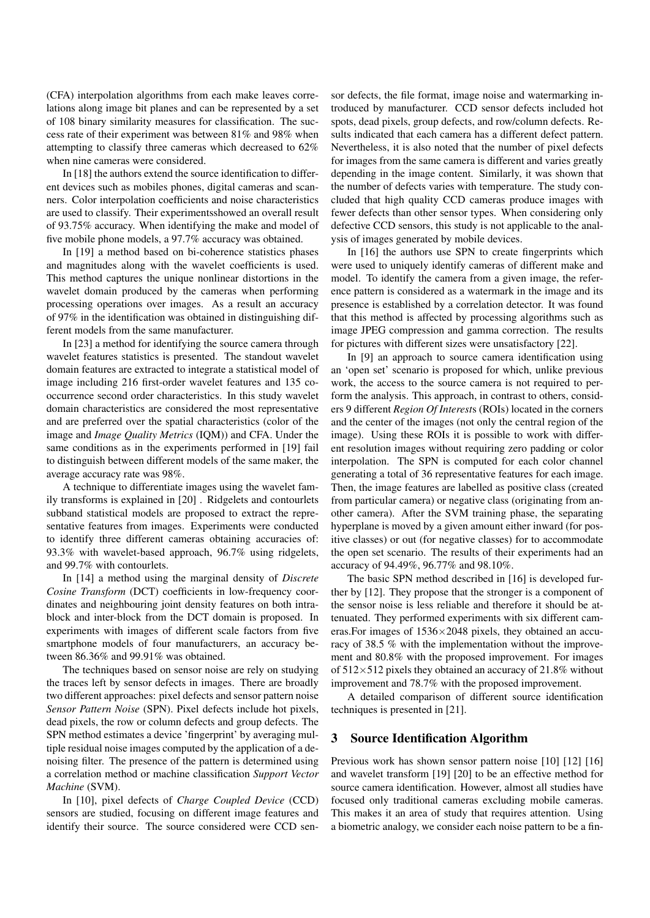(CFA) interpolation algorithms from each make leaves correlations along image bit planes and can be represented by a set of 108 binary similarity measures for classification. The success rate of their experiment was between 81% and 98% when attempting to classify three cameras which decreased to 62% when nine cameras were considered.

In [18] the authors extend the source identification to different devices such as mobiles phones, digital cameras and scanners. Color interpolation coefficients and noise characteristics are used to classify. Their experimentsshowed an overall result of 93.75% accuracy. When identifying the make and model of five mobile phone models, a 97.7% accuracy was obtained.

In [19] a method based on bi-coherence statistics phases and magnitudes along with the wavelet coefficients is used. This method captures the unique nonlinear distortions in the wavelet domain produced by the cameras when performing processing operations over images. As a result an accuracy of 97% in the identification was obtained in distinguishing different models from the same manufacturer.

In [23] a method for identifying the source camera through wavelet features statistics is presented. The standout wavelet domain features are extracted to integrate a statistical model of image including 216 first-order wavelet features and 135 cooccurrence second order characteristics. In this study wavelet domain characteristics are considered the most representative and are preferred over the spatial characteristics (color of the image and *Image Quality Metrics* (IQM)) and CFA. Under the same conditions as in the experiments performed in [19] fail to distinguish between different models of the same maker, the average accuracy rate was 98%.

A technique to differentiate images using the wavelet family transforms is explained in [20] . Ridgelets and contourlets subband statistical models are proposed to extract the representative features from images. Experiments were conducted to identify three different cameras obtaining accuracies of: 93.3% with wavelet-based approach, 96.7% using ridgelets, and 99.7% with contourlets.

In [14] a method using the marginal density of *Discrete Cosine Transform* (DCT) coefficients in low-frequency coordinates and neighbouring joint density features on both intrablock and inter-block from the DCT domain is proposed. In experiments with images of different scale factors from five smartphone models of four manufacturers, an accuracy between 86.36% and 99.91% was obtained.

The techniques based on sensor noise are rely on studying the traces left by sensor defects in images. There are broadly two different approaches: pixel defects and sensor pattern noise *Sensor Pattern Noise* (SPN). Pixel defects include hot pixels, dead pixels, the row or column defects and group defects. The SPN method estimates a device 'fingerprint' by averaging multiple residual noise images computed by the application of a denoising filter. The presence of the pattern is determined using a correlation method or machine classification *Support Vector Machine* (SVM).

In [10], pixel defects of *Charge Coupled Device* (CCD) sensors are studied, focusing on different image features and identify their source. The source considered were CCD sen-

sor defects, the file format, image noise and watermarking introduced by manufacturer. CCD sensor defects included hot spots, dead pixels, group defects, and row/column defects. Results indicated that each camera has a different defect pattern. Nevertheless, it is also noted that the number of pixel defects for images from the same camera is different and varies greatly depending in the image content. Similarly, it was shown that the number of defects varies with temperature. The study concluded that high quality CCD cameras produce images with fewer defects than other sensor types. When considering only defective CCD sensors, this study is not applicable to the analysis of images generated by mobile devices.

In [16] the authors use SPN to create fingerprints which were used to uniquely identify cameras of different make and model. To identify the camera from a given image, the reference pattern is considered as a watermark in the image and its presence is established by a correlation detector. It was found that this method is affected by processing algorithms such as image JPEG compression and gamma correction. The results for pictures with different sizes were unsatisfactory [22].

In [9] an approach to source camera identification using an 'open set' scenario is proposed for which, unlike previous work, the access to the source camera is not required to perform the analysis. This approach, in contrast to others, considers 9 different *Region Of Interest*s (ROIs) located in the corners and the center of the images (not only the central region of the image). Using these ROIs it is possible to work with different resolution images without requiring zero padding or color interpolation. The SPN is computed for each color channel generating a total of 36 representative features for each image. Then, the image features are labelled as positive class (created from particular camera) or negative class (originating from another camera). After the SVM training phase, the separating hyperplane is moved by a given amount either inward (for positive classes) or out (for negative classes) for to accommodate the open set scenario. The results of their experiments had an accuracy of 94.49%, 96.77% and 98.10%.

The basic SPN method described in [16] is developed further by [12]. They propose that the stronger is a component of the sensor noise is less reliable and therefore it should be attenuated. They performed experiments with six different cameras.For images of 1536×2048 pixels, they obtained an accuracy of 38.5 % with the implementation without the improvement and 80.8% with the proposed improvement. For images of  $512\times512$  pixels they obtained an accuracy of 21.8% without improvement and 78.7% with the proposed improvement.

A detailed comparison of different source identification techniques is presented in [21].

#### 3 Source Identification Algorithm

Previous work has shown sensor pattern noise [10] [12] [16] and wavelet transform [19] [20] to be an effective method for source camera identification. However, almost all studies have focused only traditional cameras excluding mobile cameras. This makes it an area of study that requires attention. Using a biometric analogy, we consider each noise pattern to be a fin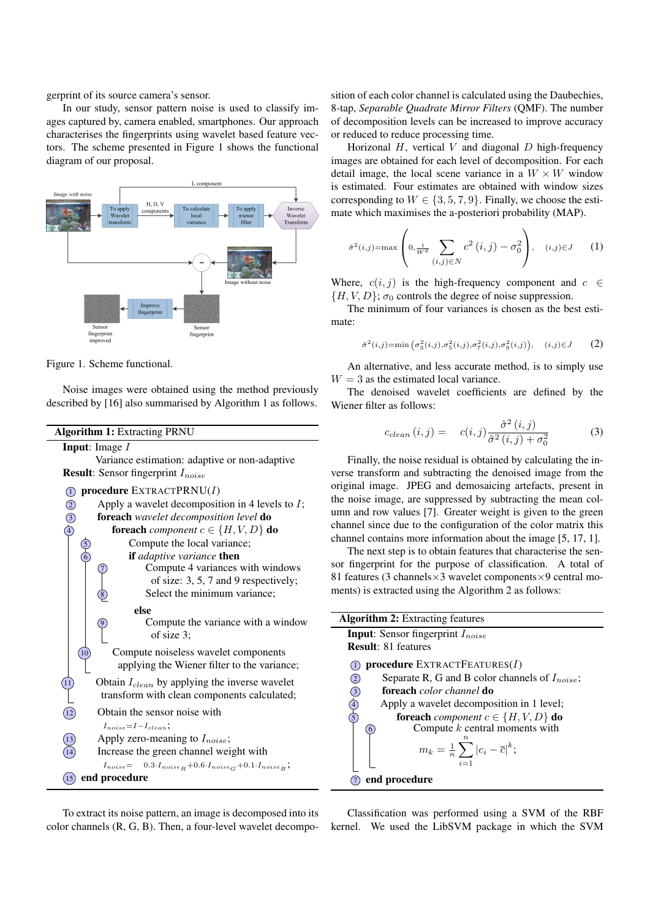gerprint of its source camera's sensor.

In our study, sensor pattern noise is used to classify images captured by, camera enabled, smartphones. Our approach characterises the fingerprints using wavelet based feature vectors. The scheme presented in Figure 1 shows the functional diagram of our proposal.





Noise images were obtained using the method previously described by [16] also summarised by Algorithm 1 as follows.

Algorithm 1: Extracting PRNU

Input: Image *I*

Variance estimation: adaptive or non-adaptive Result: Sensor fingerprint *Inoise*



To extract its noise pattern, an image is decomposed into its color channels (R, G, B). Then, a four-level wavelet decompo-kernel. We used the LibSVM package in which the SVM

sition of each color channel is calculated using the Daubechies, 8-tap, *Separable Quadrate Mirror Filters* (QMF). The number of decomposition levels can be increased to improve accuracy or reduced to reduce processing time.

Horizonal *H*, vertical *V* and diagonal *D* high-frequency images are obtained for each level of decomposition. For each detail image, the local scene variance in a  $W \times W$  window is estimated. Four estimates are obtained with window sizes corresponding to  $W \in \{3, 5, 7, 9\}$ . Finally, we choose the estimate which maximises the a-posteriori probability (MAP).

$$
\hat{\sigma}^{2}(i,j) = \max\left(0, \frac{1}{w^{2}} \sum_{(i,j) \in N} c^{2}(i,j) - \sigma_{0}^{2}\right), \quad (i,j) \in J \quad (1)
$$

Where,  $c(i, j)$  is the high-frequency component and  $c \in$  ${H, V, D}$ ;  $\sigma_0$  controls the degree of noise suppression.

The minimum of four variances is chosen as the best estimate:

$$
\hat{\sigma}^2(i,j) = \min\left(\sigma_3^2(i,j), \sigma_5^2(i,j), \sigma_7^2(i,j), \sigma_9^2(i,j)\right), \quad (i,j) \in J \tag{2}
$$

An alternative, and less accurate method, is to simply use  $W = 3$  as the estimated local variance.

The denoised wavelet coefficients are defined by the Wiener filter as follows:

$$
c_{clean}(i,j) = c(i,j)\frac{\hat{\sigma}^2(i,j)}{\hat{\sigma}^2(i,j) + \sigma_0^2}
$$
 (3)

Finally, the noise residual is obtained by calculating the inverse transform and subtracting the denoised image from the original image. JPEG and demosaicing artefacts, present in the noise image, are suppressed by subtracting the mean column and row values [7]. Greater weight is given to the green channel since due to the configuration of the color matrix this channel contains more information about the image [5, 17, 1].

The next step is to obtain features that characterise the sensor fingerprint for the purpose of classification. A total of 81 features (3 channels $\times$ 3 wavelet components $\times$ 9 central moments) is extracted using the Algorithm 2 as follows:

| <b>Algorithm 2:</b> Extracting features                    |
|------------------------------------------------------------|
| <b>Input:</b> Sensor fingerprint $I_{noise}$               |
| <b>Result:</b> 81 features                                 |
| <b>procedure</b> EXTRACTFEATURES $(I)$                     |
| Separate R, G and B color channels of $I_{noise}$ ;<br>(2) |
| foreach color channel do<br>$\circled{3}$                  |
| Apply a wavelet decomposition in 1 level;                  |
| foreach <i>component</i> $c \in \{H, V, D\}$ do            |
| Compute $k$ central moments with<br>$\overline{6}$         |
| $m_k = \frac{1}{n} \sum  c_i - \overline{c} ^k;$<br>$i=1$  |
| end procedure                                              |

Classification was performed using a SVM of the RBF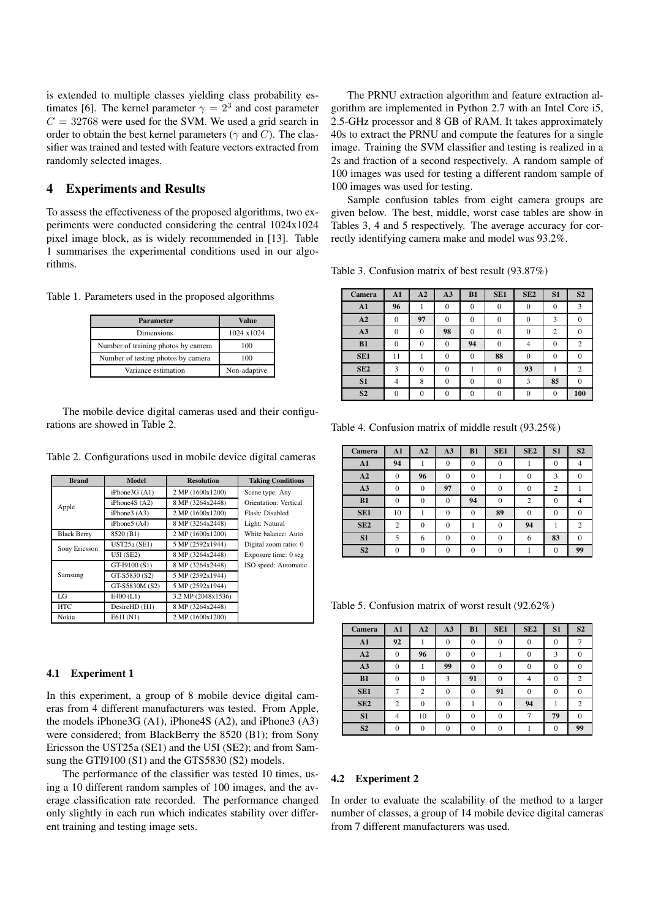is extended to multiple classes yielding class probability estimates [6]. The kernel parameter  $\gamma = 2^3$  and cost parameter  $C = 32768$  were used for the SVM. We used a grid search in order to obtain the best kernel parameters (*γ* and *C*). The classifier was trained and tested with feature vectors extracted from randomly selected images.

#### 4 Experiments and Results

To assess the effectiveness of the proposed algorithms, two experiments were conducted considering the central 1024x1024 pixel image block, as is widely recommended in [13]. Table 1 summarises the experimental conditions used in our algorithms.

Table 1. Parameters used in the proposed algorithms

| <b>Parameter</b>                    | Value        |
|-------------------------------------|--------------|
| <b>Dimensions</b>                   | 1024 x1024   |
| Number of training photos by camera | 100          |
| Number of testing photos by camera  | 100          |
| Variance estimation                 | Non-adaptive |

The mobile device digital cameras used and their configurations are showed in Table 2.

Table 2. Configurations used in mobile device digital cameras

| <b>Brand</b>       | Model           | <b>Resolution</b>  | <b>Taking Conditions</b> |
|--------------------|-----------------|--------------------|--------------------------|
|                    | iPhone3G (A1)   | 2 MP (1600x1200)   | Scene type: Any          |
| Apple              | iPhone4S $(A2)$ | 8 MP (3264x2448)   | Orientation: Vertical    |
|                    | iPhone $3(A3)$  | 2 MP (1600x1200)   | Flash: Disabled          |
|                    | iPhone $5(A4)$  | 8 MP (3264x2448)   | Light: Natural           |
| <b>Black Berry</b> | 8520 (B1)       | 2 MP (1600x1200)   | White balance: Auto      |
| Sony Ericsson      | UST25a (SE1)    | 5 MP (2592x1944)   | Digital zoom ratio: 0    |
|                    | U5I(SE2)        | 8 MP (3264x2448)   | Exposure time: 0 seg     |
|                    | GT-I9100 (S1)   | 8 MP (3264x2448)   | ISO speed: Automatic     |
| Samsung            | GT-S5830 (S2)   | 5 MP (2592x1944)   |                          |
|                    | GT-S5830M (S2)  | 5 MP (2592x1944)   |                          |
| LG                 | $E400$ (L1)     | 3.2 MP (2048x1536) |                          |
| <b>HTC</b>         | DesireHD (H1)   | 8 MP (3264x2448)   |                          |
| Nokia              | E61I(N1)        | 2 MP (1600x1200)   |                          |

#### 4.1 Experiment 1

In this experiment, a group of 8 mobile device digital cameras from 4 different manufacturers was tested. From Apple, the models iPhone3G (A1), iPhone4S (A2), and iPhone3 (A3) were considered; from BlackBerry the 8520 (B1); from Sony Ericsson the UST25a (SE1) and the U5I (SE2); and from Samsung the GTI9100 (S1) and the GTS5830 (S2) models.

The performance of the classifier was tested 10 times, using a 10 different random samples of 100 images, and the average classification rate recorded. The performance changed only slightly in each run which indicates stability over different training and testing image sets.

The PRNU extraction algorithm and feature extraction algorithm are implemented in Python 2.7 with an Intel Core i5, 2.5-GHz processor and 8 GB of RAM. It takes approximately 40s to extract the PRNU and compute the features for a single image. Training the SVM classifier and testing is realized in a 2s and fraction of a second respectively. A random sample of 100 images was used for testing a different random sample of 100 images was used for testing.

Sample confusion tables from eight camera groups are given below. The best, middle, worst case tables are show in Tables 3, 4 and 5 respectively. The average accuracy for correctly identifying camera make and model was 93.2%.

Table 3. Confusion matrix of best result (93.87%)

| Camera          | A1             | A2       | A3       | B1       | SE <sub>1</sub> | SE <sub>2</sub> | S <sub>1</sub> | S <sub>2</sub> |
|-----------------|----------------|----------|----------|----------|-----------------|-----------------|----------------|----------------|
| A1              | 96             |          | $\Omega$ | $\Omega$ | $\Omega$        | 0               | 0              | 3              |
| A2              | $\mathbf{0}$   | 97       | $\Omega$ | $\Omega$ | $\Omega$        | 0               | 3              | $\theta$       |
| A3              | $\theta$       | $\theta$ | 98       | $\Omega$ | $^{0}$          |                 | $\overline{2}$ | $\theta$       |
| B1              | $\theta$       | $\theta$ | $\Omega$ | 94       | $\theta$        |                 | 0              | $\overline{2}$ |
| SE <sub>1</sub> | 11             |          | $\theta$ | $\theta$ | 88              | $\Omega$        | $\theta$       | $\Omega$       |
| SE <sub>2</sub> | 3              | $\Omega$ | $\Omega$ |          | $^{0}$          | 93              |                | $\overline{2}$ |
| S <sub>1</sub>  | $\overline{4}$ | 8        | $\Omega$ | $\Omega$ | $\Omega$        | 3               | 85             | $\theta$       |
| S <sub>2</sub>  | $\overline{0}$ | $\Omega$ | $\Omega$ | $\Omega$ | $\Omega$        | $\Omega$        | $\Omega$       | 100            |

Table 4. Confusion matrix of middle result (93.25%)

| Camera          | A1             | A2       | A3       | B1       | SE <sub>1</sub> | SE <sub>2</sub> | S <sub>1</sub> | S <sub>2</sub> |
|-----------------|----------------|----------|----------|----------|-----------------|-----------------|----------------|----------------|
| A1              | 94             |          | $\Omega$ | $\Omega$ | $\Omega$        |                 | $\theta$       |                |
| A2              | $\Omega$       | 96       | $\theta$ | 0        |                 |                 | 3              |                |
| A3              | 0              | $\Omega$ | 97       | $\Omega$ | 0               | 0               | 2              |                |
| B1              | $\theta$       | $\theta$ | $\theta$ | 94       | 0               | $\overline{2}$  | $\theta$       | 4              |
| SE <sub>1</sub> | 10             |          | 0        | 0        | 89              | $\Omega$        | $\Omega$       | $\Omega$       |
| SE <sub>2</sub> | $\overline{c}$ | $\theta$ | $\Omega$ |          | $\Omega$        | 94              |                | 2              |
| S <sub>1</sub>  | 5              | 6        | $\Omega$ | $\Omega$ | $\Omega$        | 6               | 83             | $\Omega$       |
| S <sub>2</sub>  | $\Omega$       | $\Omega$ | $\Omega$ | $\Omega$ | $\Omega$        |                 | $\Omega$       | 99             |

Table 5. Confusion matrix of worst result (92.62%)

| Camera          | A1             | A2       | A3       | B1       | SE <sub>1</sub> | SE <sub>2</sub> | S <sub>1</sub> | S <sub>2</sub> |
|-----------------|----------------|----------|----------|----------|-----------------|-----------------|----------------|----------------|
| A1              | 92             |          | $\Omega$ | $\Omega$ | $\Omega$        | $\Omega$        | $\Omega$       |                |
| A2              | 0              | 96       | $\Omega$ |          |                 | 0               | 3              |                |
| A3              | $\Omega$       |          | 99       | $\Omega$ | 0               | $\Omega$        | $\theta$       | $\Omega$       |
| B1              | 0              | $\theta$ | 3        | 91       | $\Omega$        | 4               | $\theta$       | $\overline{c}$ |
| SE <sub>1</sub> |                | 2        | $\theta$ | $\Omega$ | 91              | 0               | 0              |                |
| SE <sub>2</sub> | $\overline{c}$ | $\Omega$ | $\theta$ |          | $\Omega$        | 94              |                | 2              |
| S1              | 4              | 10       | $\Omega$ | 0        | 0               | ⇁               | 79             |                |
| S <sub>2</sub>  | $\Omega$       | $\theta$ | $\theta$ | $\Omega$ |                 |                 | $\theta$       | 99             |

#### 4.2 Experiment 2

In order to evaluate the scalability of the method to a larger number of classes, a group of 14 mobile device digital cameras from 7 different manufacturers was used.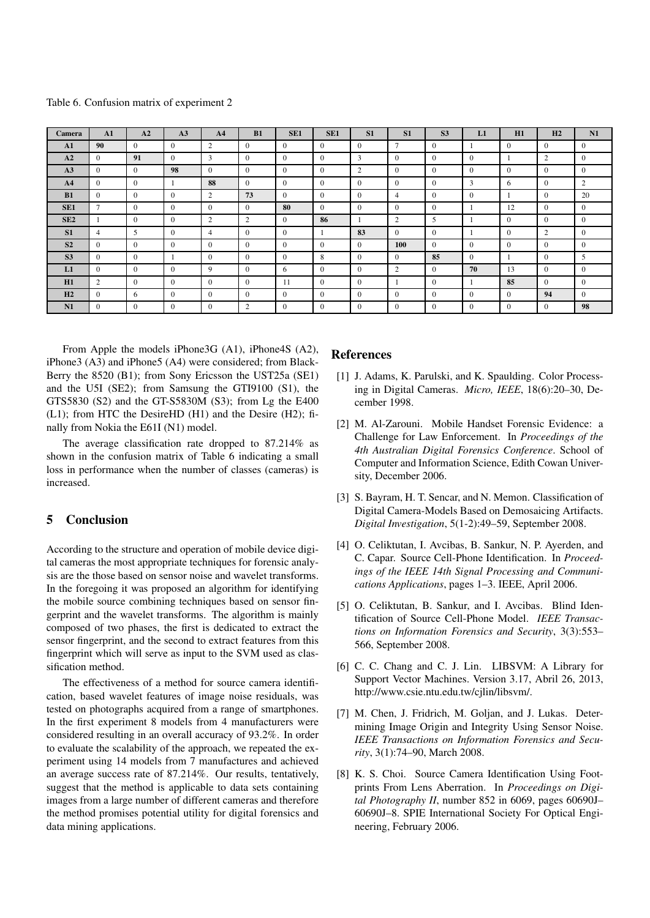Table 6. Confusion matrix of experiment 2

| Camera          | A1             | A2           | A <sub>3</sub> | A <sub>4</sub> | B1             | SE <sub>1</sub> | SE <sub>1</sub> | S <sub>1</sub> | S <sub>1</sub> | S <sub>3</sub> | L1             | H1             | H2             | N1             |
|-----------------|----------------|--------------|----------------|----------------|----------------|-----------------|-----------------|----------------|----------------|----------------|----------------|----------------|----------------|----------------|
| A1              | 90             | $\Omega$     | $\overline{0}$ | $\overline{2}$ | $\overline{0}$ | $\Omega$        | $\overline{0}$  | $\mathbf{0}$   | $\overline{7}$ | $\mathbf{0}$   |                | $\overline{0}$ | $\Omega$       | $\theta$       |
| A2              | $\overline{0}$ | 91           | $\overline{0}$ | 3              | $\overline{0}$ | $\theta$        | $\Omega$        | 3              | $\overline{0}$ | $\overline{0}$ | $\theta$       |                | 2              | $\mathbf{0}$   |
| A3              | $\Omega$       | $\Omega$     | 98             | $\Omega$       | $\theta$       | $\theta$        | $\Omega$        | 2              | $\theta$       | $\Omega$       | $\Omega$       | $\Omega$       | $\theta$       | $\Omega$       |
| A <sub>4</sub>  | $\overline{0}$ | $\mathbf{0}$ |                | 88             | $\overline{0}$ | $\overline{0}$  | $\overline{0}$  | $\mathbf{0}$   | $\overline{0}$ | $\mathbf{0}$   | 3              | 6              | $\mathbf{0}$   | $\overline{2}$ |
| B1              | $\overline{0}$ | $\Omega$     | $\Omega$       | $\overline{2}$ | 73             | $\theta$        | $\overline{0}$  | $\mathbf{0}$   | $\overline{4}$ | $\overline{0}$ | $\overline{0}$ |                | $\overline{0}$ | 20             |
| SE <sub>1</sub> | $\tau$         | $\Omega$     | $\theta$       | $\Omega$       | $\Omega$       | 80              | $\Omega$        | $\Omega$       | $\Omega$       | $\Omega$       |                | 12             | $\Omega$       | $\Omega$       |
| SE2             |                | $\theta$     | $\Omega$       | 2              | 2              | $\Omega$        | 86              |                | 2              | 5              |                | $\overline{0}$ | $\theta$       | $\Omega$       |
| S <sub>1</sub>  | 4              | 5            | $\overline{0}$ | 4              | $\overline{0}$ | $\overline{0}$  | - 1             | 83             | $\overline{0}$ | $\mathbf{0}$   |                | $\mathbf{0}$   | $\overline{2}$ | $\mathbf{0}$   |
| S <sub>2</sub>  | $\Omega$       | $\Omega$     | $\Omega$       | $\Omega$       | $\theta$       | $\Omega$        | $\Omega$        | $\Omega$       | <b>100</b>     | $\Omega$       | $\Omega$       | $\Omega$       | $\Omega$       | $\Omega$       |
| S <sub>3</sub>  | $\overline{0}$ | $\theta$     |                | $\Omega$       | $\overline{0}$ | $\theta$        | 8               | $\theta$       | $\theta$       | 85             | $\Omega$       |                | $\Omega$       | 5              |
| L1              | $\overline{0}$ | $\Omega$     | $\Omega$       | 9              | $\theta$       | 6               | $\Omega$        | $\mathbf{0}$   | $\overline{2}$ | $\mathbf{0}$   | 70             | 13             | $\theta$       | $\Omega$       |
| H1              | 2              | $\Omega$     | $\Omega$       | $\theta$       | $\overline{0}$ | -11             | $\overline{0}$  | $\Omega$       |                | $\Omega$       |                | 85             | $\Omega$       | $\Omega$       |
| H2              | $\overline{0}$ | 6            | $\Omega$       | $\Omega$       | $\overline{0}$ | $\theta$        | $\Omega$        | $\mathbf{0}$   | $\overline{0}$ | $\mathbf{0}$   | $\mathbf{0}$   | $\mathbf{0}$   | 94             | $\Omega$       |
| N1              | $\overline{0}$ | $\Omega$     | $\overline{0}$ | $\overline{0}$ | $\overline{2}$ | $\overline{0}$  | $\overline{0}$  | $\mathbf{0}$   | $\mathbf{0}$   | $\mathbf{0}$   | $\overline{0}$ | $\mathbf{0}$   | $\mathbf{0}$   | 98             |

From Apple the models iPhone3G (A1), iPhone4S (A2), iPhone3 (A3) and iPhone5 (A4) were considered; from Black-Berry the 8520 (B1); from Sony Ericsson the UST25a (SE1) and the U5I (SE2); from Samsung the GTI9100 (S1), the GTS5830 (S2) and the GT-S5830M (S3); from Lg the E400 (L1); from HTC the DesireHD (H1) and the Desire (H2); finally from Nokia the E61I (N1) model.

The average classification rate dropped to 87.214% as shown in the confusion matrix of Table 6 indicating a small loss in performance when the number of classes (cameras) is increased.

#### 5 Conclusion

According to the structure and operation of mobile device digital cameras the most appropriate techniques for forensic analysis are the those based on sensor noise and wavelet transforms. In the foregoing it was proposed an algorithm for identifying the mobile source combining techniques based on sensor fingerprint and the wavelet transforms. The algorithm is mainly composed of two phases, the first is dedicated to extract the sensor fingerprint, and the second to extract features from this fingerprint which will serve as input to the SVM used as classification method.

The effectiveness of a method for source camera identification, based wavelet features of image noise residuals, was tested on photographs acquired from a range of smartphones. In the first experiment 8 models from 4 manufacturers were considered resulting in an overall accuracy of 93.2%. In order to evaluate the scalability of the approach, we repeated the experiment using 14 models from 7 manufactures and achieved an average success rate of 87.214%. Our results, tentatively, suggest that the method is applicable to data sets containing images from a large number of different cameras and therefore the method promises potential utility for digital forensics and data mining applications.

#### References

- [1] J. Adams, K. Parulski, and K. Spaulding. Color Processing in Digital Cameras. *Micro, IEEE*, 18(6):20–30, December 1998.
- [2] M. Al-Zarouni. Mobile Handset Forensic Evidence: a Challenge for Law Enforcement. In *Proceedings of the 4th Australian Digital Forensics Conference*. School of Computer and Information Science, Edith Cowan University, December 2006.
- [3] S. Bayram, H. T. Sencar, and N. Memon. Classification of Digital Camera-Models Based on Demosaicing Artifacts. *Digital Investigation*, 5(1-2):49–59, September 2008.
- [4] O. Celiktutan, I. Avcibas, B. Sankur, N. P. Ayerden, and C. Capar. Source Cell-Phone Identification. In *Proceedings of the IEEE 14th Signal Processing and Communications Applications*, pages 1–3. IEEE, April 2006.
- [5] O. Celiktutan, B. Sankur, and I. Avcibas. Blind Identification of Source Cell-Phone Model. *IEEE Transactions on Information Forensics and Security*, 3(3):553– 566, September 2008.
- [6] C. C. Chang and C. J. Lin. LIBSVM: A Library for Support Vector Machines. Version 3.17, Abril 26, 2013, http://www.csie.ntu.edu.tw/cjlin/libsvm/.
- [7] M. Chen, J. Fridrich, M. Golian, and J. Lukas. Determining Image Origin and Integrity Using Sensor Noise. *IEEE Transactions on Information Forensics and Security*, 3(1):74–90, March 2008.
- [8] K. S. Choi. Source Camera Identification Using Footprints From Lens Aberration. In *Proceedings on Digital Photography II*, number 852 in 6069, pages 60690J– 60690J–8. SPIE International Society For Optical Engineering, February 2006.